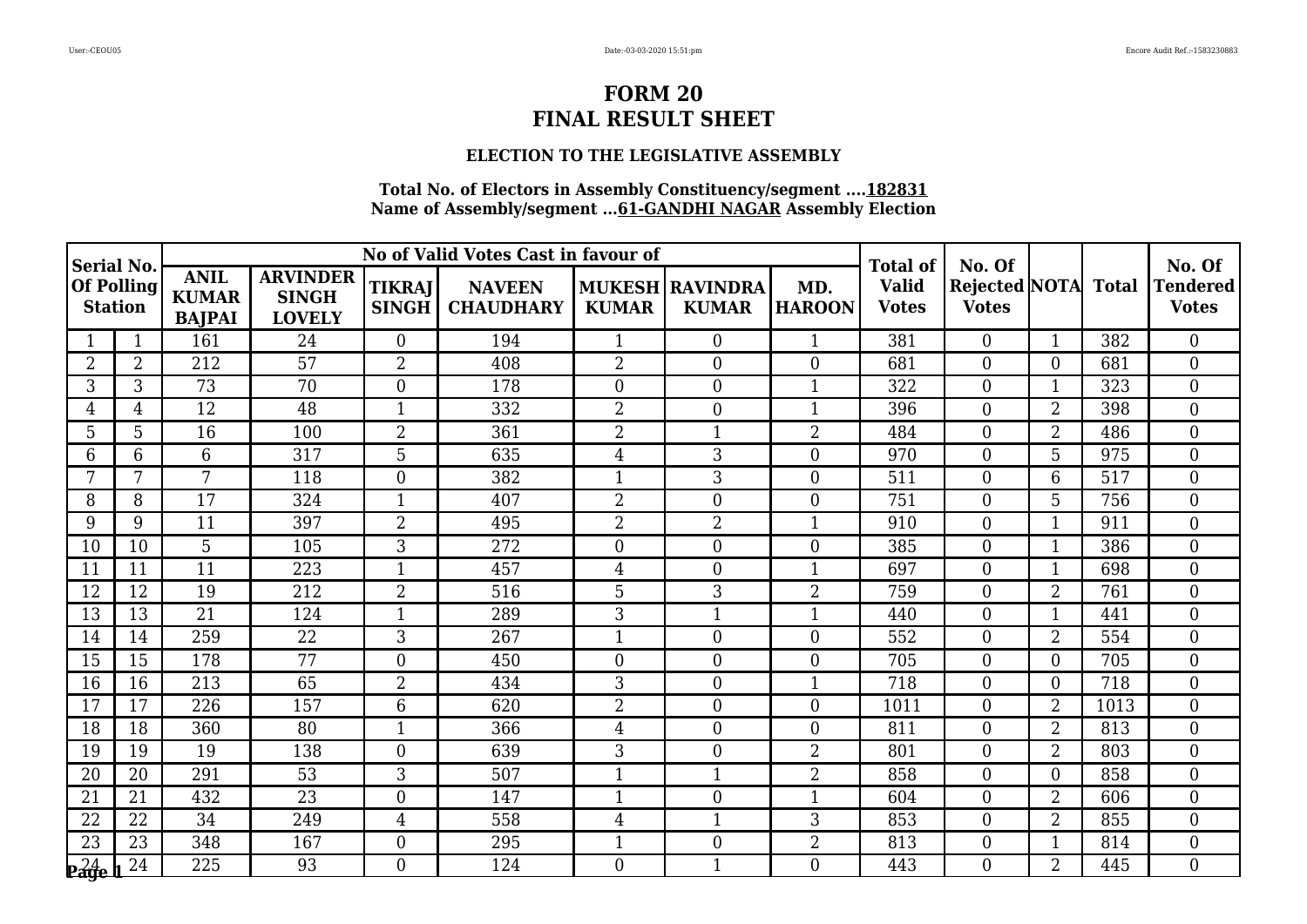### **ELECTION TO THE LEGISLATIVE ASSEMBLY**

| Serial No.                          |                |                                              |                                                  |                               | No of Valid Votes Cast in favour of |                |                                        |                      | <b>Total of</b>              | No. Of                              |                |      | No. Of                          |
|-------------------------------------|----------------|----------------------------------------------|--------------------------------------------------|-------------------------------|-------------------------------------|----------------|----------------------------------------|----------------------|------------------------------|-------------------------------------|----------------|------|---------------------------------|
| <b>Of Polling</b><br><b>Station</b> |                | <b>ANIL</b><br><b>KUMAR</b><br><b>BAJPAI</b> | <b>ARVINDER</b><br><b>SINGH</b><br><b>LOVELY</b> | <b>TIKRAJ</b><br><b>SINGH</b> | <b>NAVEEN</b><br><b>CHAUDHARY</b>   | <b>KUMAR</b>   | <b>MUKESH RAVINDRA</b><br><b>KUMAR</b> | MD.<br><b>HAROON</b> | <b>Valid</b><br><b>Votes</b> | Rejected NOTA Total<br><b>Votes</b> |                |      | <b>Tendered</b><br><b>Votes</b> |
|                                     | $\mathbf{1}$   | 161                                          | 24                                               | $\theta$                      | 194                                 | $\mathbf{1}$   | $\mathbf{0}$                           | $\mathbf{1}$         | 381                          | $\overline{0}$                      | $\mathbf{1}$   | 382  | $\theta$                        |
| $\overline{2}$                      | $\overline{2}$ | 212                                          | 57                                               | $\overline{2}$                | 408                                 | $\overline{2}$ | $\boldsymbol{0}$                       | $\overline{0}$       | 681                          | $\boldsymbol{0}$                    | 0              | 681  | $\overline{0}$                  |
| 3                                   | 3              | $\overline{73}$                              | 70                                               | $\boldsymbol{0}$              | 178                                 | $\overline{0}$ | $\overline{0}$                         | $\mathbf{1}$         | 322                          | $\boldsymbol{0}$                    | $\mathbf 1$    | 323  | $\boldsymbol{0}$                |
| 4                                   | 4              | 12                                           | 48                                               | $\mathbf{1}$                  | 332                                 | 2              | $\boldsymbol{0}$                       | $\mathbf{1}$         | 396                          | $\boldsymbol{0}$                    | $\overline{2}$ | 398  | $\overline{0}$                  |
| 5                                   | 5              | 16                                           | 100                                              | $\overline{2}$                | 361                                 | $\overline{2}$ | $\mathbf{1}$                           | $\overline{2}$       | 484                          | $\overline{0}$                      | $\overline{2}$ | 486  | $\overline{0}$                  |
| 6                                   | 6              | 6                                            | 317                                              | 5                             | 635                                 | 4              | 3                                      | $\boldsymbol{0}$     | 970                          | $\boldsymbol{0}$                    | 5              | 975  | $\overline{0}$                  |
| 7                                   | 7              | 7                                            | 118                                              | $\overline{0}$                | 382                                 | $\mathbf{1}$   | 3                                      | $\overline{0}$       | 511                          | $\overline{0}$                      | 6              | 517  | $\theta$                        |
| 8                                   | 8              | 17                                           | 324                                              | $\mathbf{1}$                  | 407                                 | 2              | $\boldsymbol{0}$                       | $\boldsymbol{0}$     | 751                          | $\boldsymbol{0}$                    | 5              | 756  | $\overline{0}$                  |
| 9                                   | 9              | 11                                           | 397                                              | $\overline{2}$                | 495                                 | 2              | $\overline{2}$                         | $\mathbf{1}$         | 910                          | $\boldsymbol{0}$                    | $\mathbf{1}$   | 911  | $\boldsymbol{0}$                |
| 10                                  | 10             | 5                                            | 105                                              | 3                             | 272                                 | $\overline{0}$ | $\overline{0}$                         | $\overline{0}$       | 385                          | $\overline{0}$                      | 1              | 386  | $\theta$                        |
| 11                                  | 11             | 11                                           | 223                                              | $\mathbf{1}$                  | 457                                 | 4              | $\boldsymbol{0}$                       | $\mathbf{1}$         | 697                          | $\overline{0}$                      | -1             | 698  | $\overline{0}$                  |
| 12                                  | 12             | 19                                           | 212                                              | $\overline{2}$                | 516                                 | 5              | 3                                      | $\overline{2}$       | 759                          | $\boldsymbol{0}$                    | $\overline{2}$ | 761  | $\overline{0}$                  |
| 13                                  | 13             | 21                                           | 124                                              | $\mathbf{1}$                  | 289                                 | 3              | $\mathbf{1}$                           | $\mathbf{1}$         | 440                          | $\boldsymbol{0}$                    | $\mathbf{1}$   | 441  | $\boldsymbol{0}$                |
| 14                                  | 14             | 259                                          | 22                                               | $\mathfrak{Z}$                | 267                                 | $\mathbf{1}$   | $\overline{0}$                         | $\overline{0}$       | 552                          | $\overline{0}$                      | $\overline{2}$ | 554  | $\overline{0}$                  |
| 15                                  | 15             | 178                                          | 77                                               | $\boldsymbol{0}$              | 450                                 | $\overline{0}$ | $\overline{0}$                         | $\overline{0}$       | 705                          | $\overline{0}$                      | $\overline{0}$ | 705  | $\theta$                        |
| 16                                  | 16             | 213                                          | 65                                               | $\overline{2}$                | 434                                 | 3              | $\boldsymbol{0}$                       | $\mathbf{1}$         | 718                          | $\boldsymbol{0}$                    | 0              | 718  | $\overline{0}$                  |
| 17                                  | 17             | 226                                          | 157                                              | 6                             | 620                                 | 2              | $\boldsymbol{0}$                       | $\boldsymbol{0}$     | 1011                         | $\boldsymbol{0}$                    | $\overline{2}$ | 1013 | $\overline{0}$                  |
| 18                                  | 18             | 360                                          | 80                                               | $\mathbf{1}$                  | 366                                 | $\overline{4}$ | $\boldsymbol{0}$                       | $\overline{0}$       | 811                          | $\overline{0}$                      | $\overline{2}$ | 813  | $\overline{0}$                  |
| 19                                  | 19             | 19                                           | 138                                              | $\overline{0}$                | 639                                 | 3              | $\overline{0}$                         | $\overline{2}$       | 801                          | $\boldsymbol{0}$                    | $\overline{2}$ | 803  | $\overline{0}$                  |
| 20                                  | 20             | 291                                          | 53                                               | 3                             | 507                                 | 1              | $\mathbf{1}$                           | $\overline{2}$       | 858                          | $\boldsymbol{0}$                    | 0              | 858  | $\overline{0}$                  |
| 21                                  | 21             | 432                                          | 23                                               | $\overline{0}$                | 147                                 | $\mathbf{1}$   | $\boldsymbol{0}$                       | $\mathbf{1}$         | 604                          | $\overline{0}$                      | $\overline{2}$ | 606  | $\overline{0}$                  |
| 22                                  | 22             | 34                                           | 249                                              | $\overline{4}$                | 558                                 | 4              | 1                                      | 3                    | 853                          | $\boldsymbol{0}$                    | $\overline{2}$ | 855  | $\mathbf{0}$                    |
| 23                                  | 23             | 348                                          | 167                                              | $\boldsymbol{0}$              | 295                                 | $\mathbf{1}$   | $\boldsymbol{0}$                       | $\overline{2}$       | 813                          | $\boldsymbol{0}$                    | $\mathbf{1}$   | 814  | $\boldsymbol{0}$                |
| $24$ eage                           | 24             | 225                                          | 93                                               | $\Omega$                      | 124                                 | $\overline{0}$ | $\mathbf{1}$                           | $\overline{0}$       | 443                          | $\theta$                            | $\overline{2}$ | 445  | $\Omega$                        |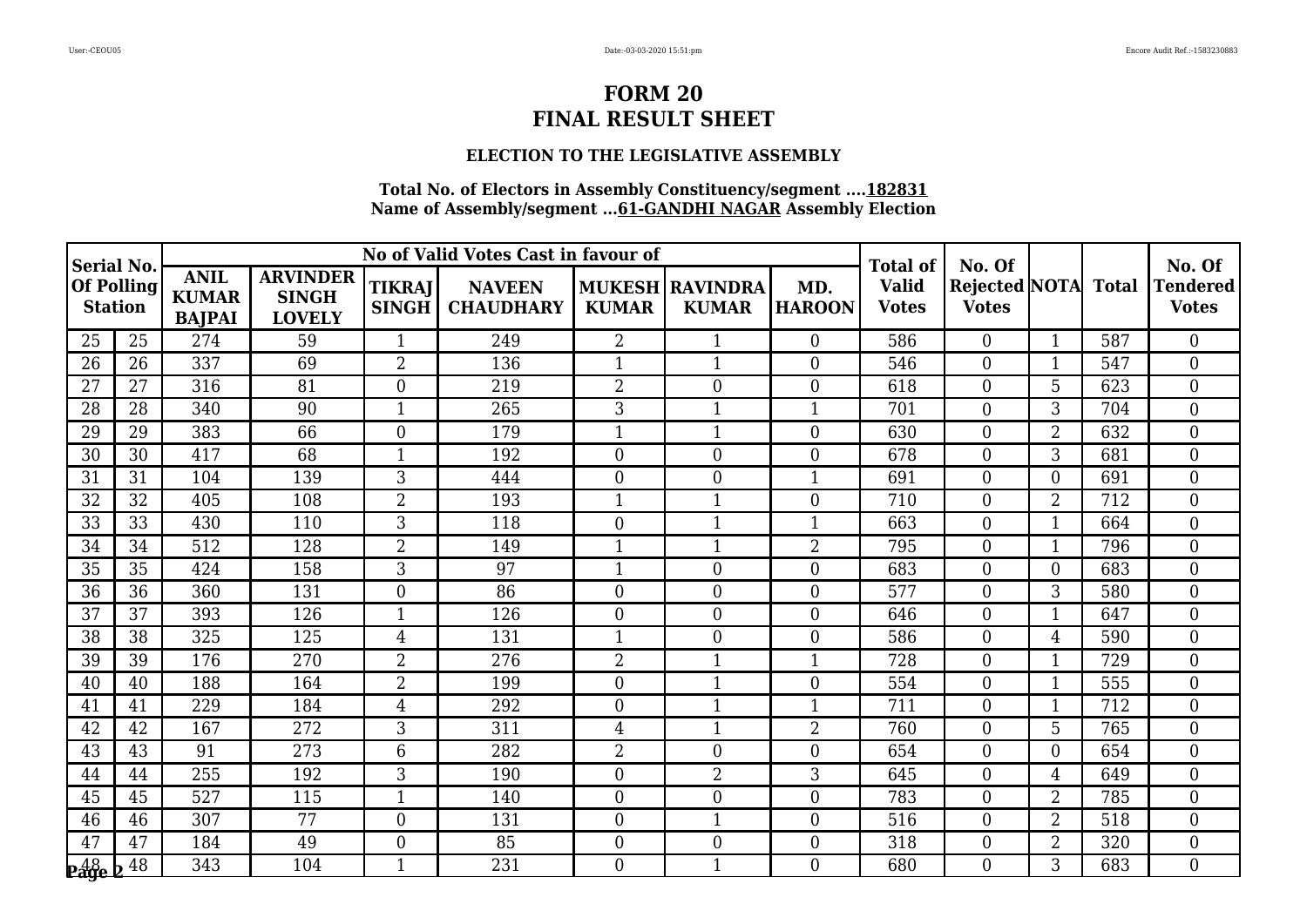### **ELECTION TO THE LEGISLATIVE ASSEMBLY**

| Serial No.                              |    |                                              |                                                  |                               | No of Valid Votes Cast in favour of |                  |                                        |                      | <b>Total of</b>              | No. Of                                     |                |     | No. Of                     |
|-----------------------------------------|----|----------------------------------------------|--------------------------------------------------|-------------------------------|-------------------------------------|------------------|----------------------------------------|----------------------|------------------------------|--------------------------------------------|----------------|-----|----------------------------|
| <b>Of Polling</b><br><b>Station</b>     |    | <b>ANIL</b><br><b>KUMAR</b><br><b>BAJPAI</b> | <b>ARVINDER</b><br><b>SINGH</b><br><b>LOVELY</b> | <b>TIKRAJ</b><br><b>SINGH</b> | <b>NAVEEN</b><br><b>CHAUDHARY</b>   | <b>KUMAR</b>     | <b>MUKESH RAVINDRA</b><br><b>KUMAR</b> | MD.<br><b>HAROON</b> | <b>Valid</b><br><b>Votes</b> | <b>Rejected NOTA</b> Total<br><b>Votes</b> |                |     | Tendered  <br><b>Votes</b> |
| 25                                      | 25 | 274                                          | 59                                               | 1                             | 249                                 | $\overline{2}$   |                                        | $\overline{0}$       | 586                          | $\overline{0}$                             | $\mathbf{1}$   | 587 | $\overline{0}$             |
| 26                                      | 26 | 337                                          | 69                                               | $\overline{2}$                | 136                                 |                  | 1                                      | $\overline{0}$       | 546                          | $\overline{0}$                             | 1              | 547 | $\boldsymbol{0}$           |
| 27                                      | 27 | 316                                          | 81                                               | $\overline{0}$                | 219                                 | $\overline{2}$   | $\theta$                               | $\boldsymbol{0}$     | 618                          | $\overline{0}$                             | 5              | 623 | $\boldsymbol{0}$           |
| 28                                      | 28 | 340                                          | 90                                               | $\mathbf{1}$                  | 265                                 | 3                | 1                                      | $\overline{1}$       | 701                          | $\overline{0}$                             | 3              | 704 | $\overline{0}$             |
| 29                                      | 29 | 383                                          | 66                                               | $\overline{0}$                | 179                                 | 1                | 1                                      | $\overline{0}$       | 630                          | $\overline{0}$                             | $\overline{2}$ | 632 | $\mathbf{0}$               |
| 30                                      | 30 | 417                                          | 68                                               | $\mathbf{1}$                  | 192                                 | $\overline{0}$   | $\overline{0}$                         | $\boldsymbol{0}$     | 678                          | $\overline{0}$                             | 3              | 681 | $\boldsymbol{0}$           |
| 31                                      | 31 | 104                                          | 139                                              | 3                             | 444                                 | $\overline{0}$   | $\overline{0}$                         | $\overline{1}$       | 691                          | $\overline{0}$                             | 0              | 691 | $\mathbf{0}$               |
| 32                                      | 32 | 405                                          | 108                                              | $\overline{2}$                | 193                                 |                  |                                        | $\overline{0}$       | 710                          | $\overline{0}$                             | $\overline{2}$ | 712 | $\overline{0}$             |
| 33                                      | 33 | 430                                          | 110                                              | $\overline{3}$                | 118                                 | $\overline{0}$   | $\mathbf{1}$                           | $\overline{1}$       | 663                          | $\overline{0}$                             | $\mathbf{1}$   | 664 | $\overline{0}$             |
| 34                                      | 34 | 512                                          | 128                                              | $\overline{2}$                | 149                                 | $\mathbf{1}$     | $\mathbf{1}$                           | $\overline{2}$       | 795                          | $\overline{0}$                             | $\mathbf{1}$   | 796 | $\boldsymbol{0}$           |
| 35                                      | 35 | 424                                          | 158                                              | 3                             | 97                                  | 1                | $\overline{0}$                         | $\boldsymbol{0}$     | 683                          | $\overline{0}$                             | 0              | 683 | $\mathbf{0}$               |
| 36                                      | 36 | 360                                          | 131                                              | $\boldsymbol{0}$              | 86                                  | $\overline{0}$   | $\boldsymbol{0}$                       | $\boldsymbol{0}$     | 577                          | $\overline{0}$                             | 3              | 580 | $\boldsymbol{0}$           |
| 37                                      | 37 | 393                                          | 126                                              | 1                             | 126                                 | $\Omega$         | $\overline{0}$                         | $\overline{0}$       | 646                          | $\overline{0}$                             | $\mathbf{1}$   | 647 | $\boldsymbol{0}$           |
| 38                                      | 38 | 325                                          | 125                                              | $\overline{4}$                | 131                                 | 1                | $\boldsymbol{0}$                       | $\boldsymbol{0}$     | 586                          | $\overline{0}$                             | 4              | 590 | $\mathbf{0}$               |
| 39                                      | 39 | 176                                          | 270                                              | $\overline{2}$                | 276                                 | $\overline{2}$   | $\mathbf{1}$                           | $\overline{1}$       | 728                          | $\overline{0}$                             |                | 729 | $\mathbf{0}$               |
| 40                                      | 40 | 188                                          | 164                                              | $\overline{2}$                | 199                                 | $\overline{0}$   | 1                                      | $\overline{0}$       | 554                          | $\overline{0}$                             | $\mathbf{1}$   | 555 | $\boldsymbol{0}$           |
| 41                                      | 41 | 229                                          | 184                                              | $\overline{4}$                | 292                                 | $\overline{0}$   | 1                                      | $\mathbf{1}$         | 711                          | $\overline{0}$                             | $\mathbf{1}$   | 712 | $\boldsymbol{0}$           |
| 42                                      | 42 | 167                                          | 272                                              | 3                             | $\overline{311}$                    | 4                | 1                                      | $\overline{2}$       | 760                          | $\theta$                                   | 5              | 765 | $\overline{0}$             |
| 43                                      | 43 | 91                                           | 273                                              | 6                             | 282                                 | 2                | $\overline{0}$                         | $\overline{0}$       | 654                          | $\overline{0}$                             | $\Omega$       | 654 | $\boldsymbol{0}$           |
| 44                                      | 44 | 255                                          | 192                                              | 3                             | 190                                 | $\boldsymbol{0}$ | $\overline{2}$                         | 3                    | 645                          | $\mathbf{0}$                               | 4              | 649 | $\boldsymbol{0}$           |
| 45                                      | 45 | 527                                          | 115                                              | $\mathbf{1}$                  | 140                                 | $\overline{0}$   | $\overline{0}$                         | $\boldsymbol{0}$     | 783                          | $\overline{0}$                             | $\overline{2}$ | 785 | $\overline{0}$             |
| 46                                      | 46 | 307                                          | 77                                               | $\overline{0}$                | 131                                 | $\boldsymbol{0}$ | 1                                      | $\boldsymbol{0}$     | 516                          | $\overline{0}$                             | $\overline{2}$ | 518 | $\boldsymbol{0}$           |
| 47                                      | 47 | 184                                          | 49                                               | $\boldsymbol{0}$              | 85                                  | $\boldsymbol{0}$ | $\boldsymbol{0}$                       | $\mathbf{0}$         | 318                          | $\overline{0}$                             | $\overline{2}$ | 320 | $\boldsymbol{0}$           |
| $\frac{48}{29}$ e $\frac{\sqrt{48}}{2}$ |    | 343                                          | 104                                              | $\mathbf{1}$                  | 231                                 | $\overline{0}$   | 1                                      | $\overline{0}$       | 680                          | $\Omega$                                   | 3              | 683 | $\theta$                   |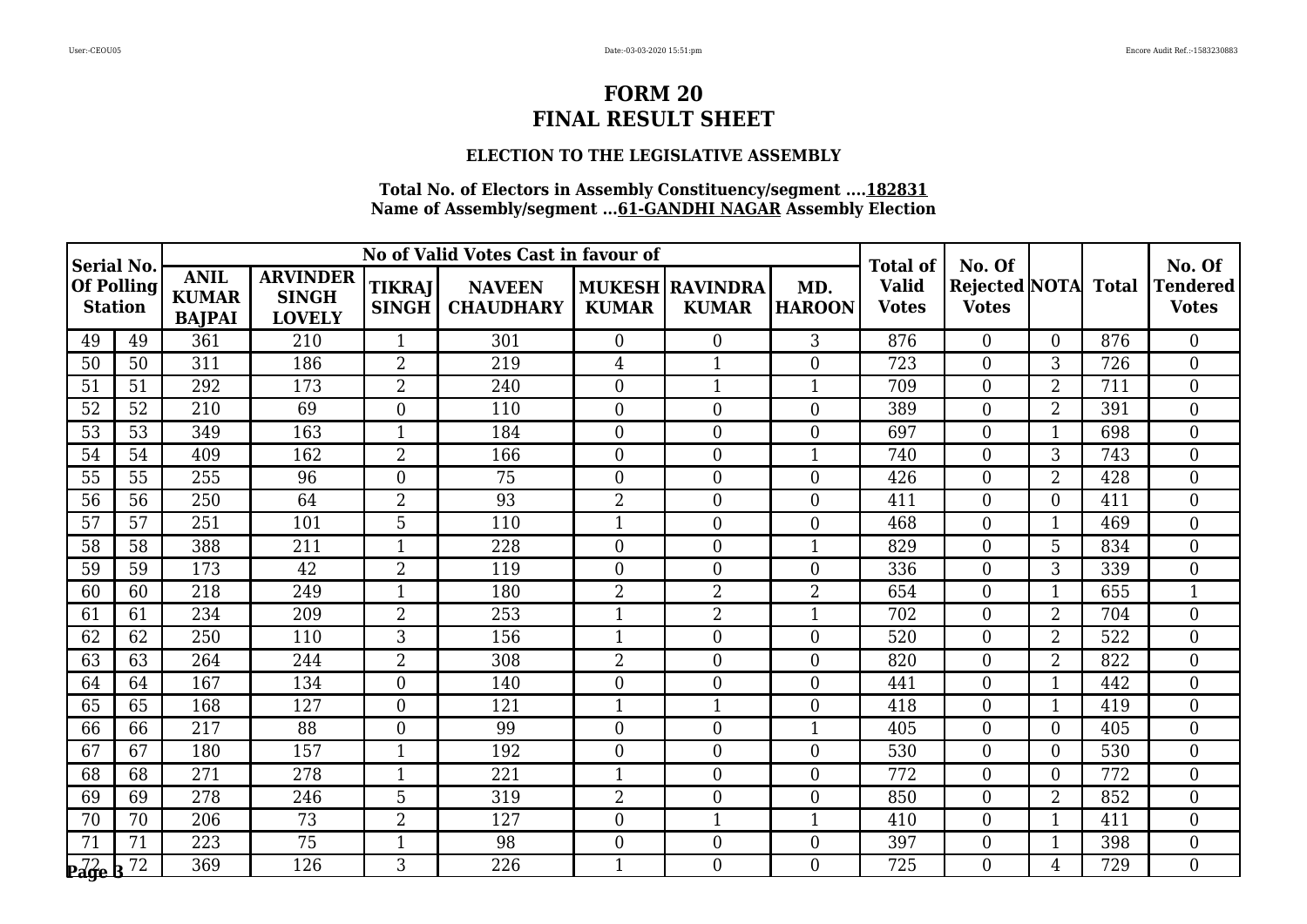### **ELECTION TO THE LEGISLATIVE ASSEMBLY**

| Serial No.                                             |                 |                                              |                                                  |                               | No of Valid Votes Cast in favour of |                |                                          |                      | <b>Total of</b>              | No. Of                              |                |     | No. Of                          |
|--------------------------------------------------------|-----------------|----------------------------------------------|--------------------------------------------------|-------------------------------|-------------------------------------|----------------|------------------------------------------|----------------------|------------------------------|-------------------------------------|----------------|-----|---------------------------------|
| <b>Of Polling</b><br><b>Station</b>                    |                 | <b>ANIL</b><br><b>KUMAR</b><br><b>BAJPAI</b> | <b>ARVINDER</b><br><b>SINGH</b><br><b>LOVELY</b> | <b>TIKRAJ</b><br><b>SINGH</b> | <b>NAVEEN</b><br><b>CHAUDHARY</b>   | <b>KUMAR</b>   | <b>MUKESH   RAVINDRA</b><br><b>KUMAR</b> | MD.<br><b>HAROON</b> | <b>Valid</b><br><b>Votes</b> | Rejected NOTA Total<br><b>Votes</b> |                |     | <b>Tendered</b><br><b>Votes</b> |
| 49                                                     | 49              | 361                                          | 210                                              | $\mathbf{1}$                  | 301                                 | $\overline{0}$ | $\overline{0}$                           | 3                    | 876                          | $\theta$                            | $\Omega$       | 876 | $\theta$                        |
| 50                                                     | 50              | 311                                          | 186                                              | $\overline{2}$                | 219                                 | 4              | 1                                        | $\overline{0}$       | 723                          | $\boldsymbol{0}$                    | 3              | 726 | $\overline{0}$                  |
| 51                                                     | 51              | 292                                          | 173                                              | $\overline{2}$                | 240                                 | $\overline{0}$ | $\mathbf{1}$                             | $\mathbf{1}$         | 709                          | $\boldsymbol{0}$                    | $\overline{2}$ | 711 | $\overline{0}$                  |
| 52                                                     | 52              | 210                                          | 69                                               | $\overline{0}$                | 110                                 | $\overline{0}$ | $\boldsymbol{0}$                         | $\overline{0}$       | 389                          | $\boldsymbol{0}$                    | $\overline{2}$ | 391 | $\overline{0}$                  |
| 53                                                     | $\overline{53}$ | 349                                          | 163                                              | $\mathbf{1}$                  | 184                                 | $\overline{0}$ | $\boldsymbol{0}$                         | $\overline{0}$       | 697                          | $\overline{0}$                      |                | 698 | $\overline{0}$                  |
| 54                                                     | 54              | 409                                          | 162                                              | $\overline{2}$                | 166                                 | $\overline{0}$ | $\boldsymbol{0}$                         | $\mathbf{1}$         | 740                          | $\boldsymbol{0}$                    | 3              | 743 | $\overline{0}$                  |
| 55                                                     | 55              | 255                                          | 96                                               | $\Omega$                      | 75                                  | $\overline{0}$ | $\overline{0}$                           | $\overline{0}$       | 426                          | $\overline{0}$                      | $\overline{2}$ | 428 | $\theta$                        |
| 56                                                     | 56              | 250                                          | 64                                               | $\overline{2}$                | 93                                  | 2              | $\boldsymbol{0}$                         | $\boldsymbol{0}$     | 411                          | $\boldsymbol{0}$                    | 0              | 411 | $\overline{0}$                  |
| 57                                                     | 57              | 251                                          | 101                                              | 5                             | 110                                 | $\overline{1}$ | $\boldsymbol{0}$                         | $\boldsymbol{0}$     | 468                          | $\boldsymbol{0}$                    | 1              | 469 | $\boldsymbol{0}$                |
| 58                                                     | 58              | 388                                          | 211                                              | $\mathbf{1}$                  | 228                                 | $\overline{0}$ | $\overline{0}$                           | $\mathbf{1}$         | 829                          | $\overline{0}$                      | 5              | 834 | $\theta$                        |
| 59                                                     | 59              | 173                                          | 42                                               | $\overline{2}$                | 119                                 | $\overline{0}$ | $\boldsymbol{0}$                         | $\overline{0}$       | 336                          | $\overline{0}$                      | 3              | 339 | $\overline{0}$                  |
| 60                                                     | 60              | 218                                          | 249                                              | $\mathbf{1}$                  | 180                                 | 2              | 2                                        | $\overline{2}$       | 654                          | $\boldsymbol{0}$                    | 1              | 655 | $\mathbf{1}$                    |
| 61                                                     | 61              | 234                                          | 209                                              | $\overline{2}$                | 253                                 | $\mathbf{1}$   | $\overline{2}$                           | $\mathbf{1}$         | 702                          | $\boldsymbol{0}$                    | $\overline{2}$ | 704 | $\overline{0}$                  |
| 62                                                     | 62              | 250                                          | 110                                              | 3                             | 156                                 | $\mathbf{1}$   | $\overline{0}$                           | $\overline{0}$       | 520                          | $\overline{0}$                      | $\overline{2}$ | 522 | $\overline{0}$                  |
| 63                                                     | 63              | 264                                          | 244                                              | $\overline{2}$                | 308                                 | $\overline{2}$ | $\overline{0}$                           | $\overline{0}$       | 820                          | $\overline{0}$                      | $\overline{2}$ | 822 | $\theta$                        |
| 64                                                     | 64              | 167                                          | 134                                              | $\overline{0}$                | 140                                 | $\overline{0}$ | $\boldsymbol{0}$                         | $\overline{0}$       | 441                          | $\boldsymbol{0}$                    | 1              | 442 | $\overline{0}$                  |
| 65                                                     | 65              | 168                                          | 127                                              | $\overline{0}$                | 121                                 | $\mathbf{1}$   | 1                                        | $\boldsymbol{0}$     | 418                          | $\boldsymbol{0}$                    | $\mathbf 1$    | 419 | $\overline{0}$                  |
| 66                                                     | 66              | 217                                          | 88                                               | $\overline{0}$                | 99                                  | $\overline{0}$ | $\boldsymbol{0}$                         | $\mathbf{1}$         | 405                          | $\overline{0}$                      | $\Omega$       | 405 | $\overline{0}$                  |
| 67                                                     | 67              | 180                                          | 157                                              | $\mathbf{1}$                  | 192                                 | $\overline{0}$ | $\overline{0}$                           | $\overline{0}$       | 530                          | $\boldsymbol{0}$                    | 0              | 530 | $\overline{0}$                  |
| 68                                                     | 68              | 271                                          | 278                                              | $\mathbf{1}$                  | 221                                 | 1              | $\boldsymbol{0}$                         | $\boldsymbol{0}$     | 772                          | $\boldsymbol{0}$                    | 0              | 772 | $\overline{0}$                  |
| 69                                                     | 69              | 278                                          | 246                                              | 5                             | 319                                 | $\overline{2}$ | $\overline{0}$                           | $\overline{0}$       | 850                          | $\overline{0}$                      | $\overline{2}$ | 852 | $\theta$                        |
| 70                                                     | 70              | 206                                          | 73                                               | $\overline{2}$                | 127                                 | $\overline{0}$ | 1                                        | 1                    | 410                          | $\boldsymbol{0}$                    | 1              | 411 | $\boldsymbol{0}$                |
| 71                                                     | 71              | 223                                          | 75                                               | $\mathbf{1}$                  | 98                                  | $\overline{0}$ | $\boldsymbol{0}$                         | $\boldsymbol{0}$     | 397                          | $\boldsymbol{0}$                    | $\mathbf{1}$   | 398 | $\boldsymbol{0}$                |
| $_{\mathbf{P} \overline{d} \overline{g} \mathbf{e}}$ B | 72              | 369                                          | 126                                              | 3                             | 226                                 | $\mathbf{1}$   | $\overline{0}$                           | $\overline{0}$       | 725                          | $\theta$                            | 4              | 729 | $\Omega$                        |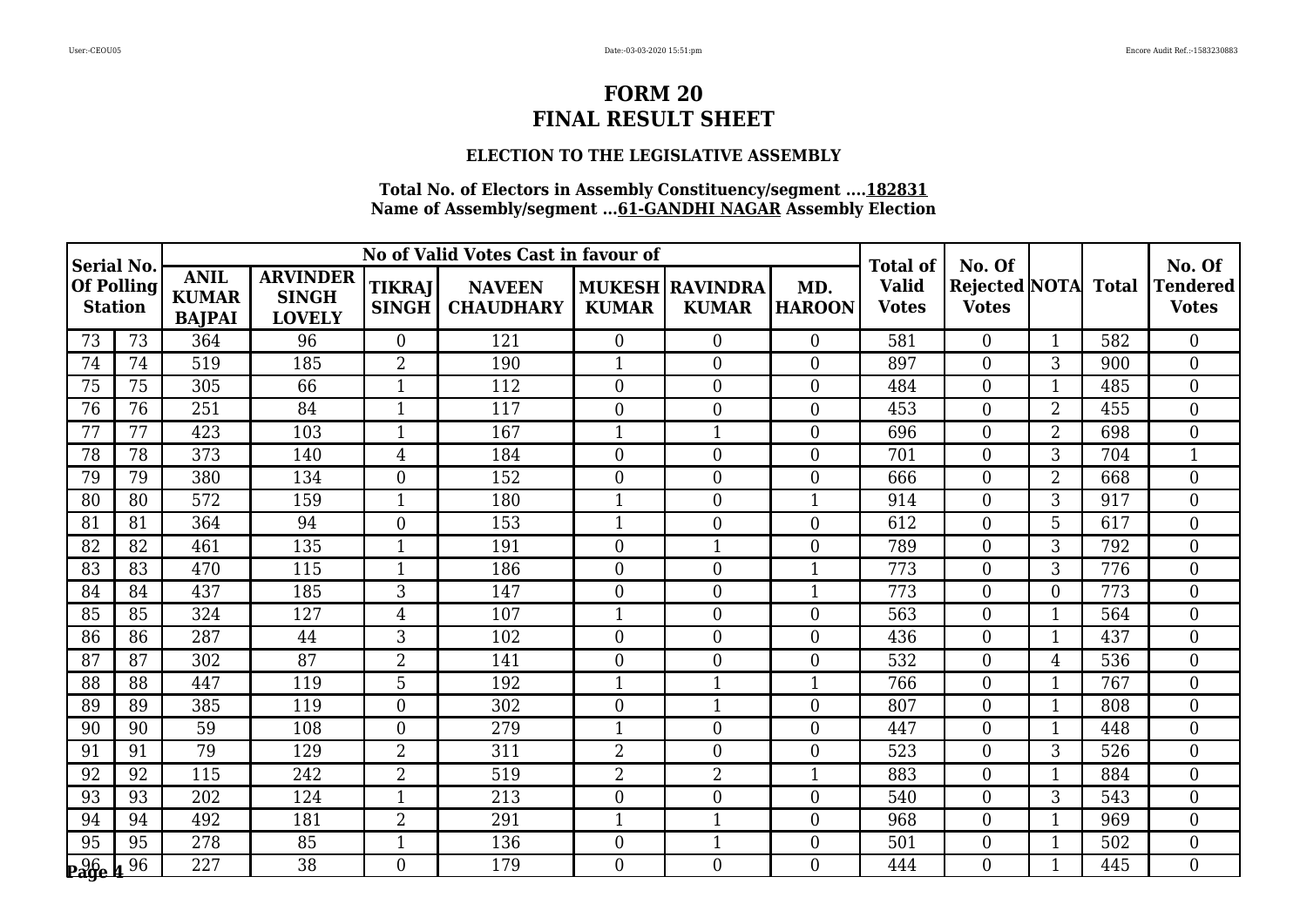### **ELECTION TO THE LEGISLATIVE ASSEMBLY**

| Serial No.                          |    |                                              |                                                  |                               | No of Valid Votes Cast in favour of |                  |                                        |                      | <b>Total of</b>              | No. Of                                     |                |     | No. Of                   |
|-------------------------------------|----|----------------------------------------------|--------------------------------------------------|-------------------------------|-------------------------------------|------------------|----------------------------------------|----------------------|------------------------------|--------------------------------------------|----------------|-----|--------------------------|
| <b>Of Polling</b><br><b>Station</b> |    | <b>ANIL</b><br><b>KUMAR</b><br><b>BAJPAI</b> | <b>ARVINDER</b><br><b>SINGH</b><br><b>LOVELY</b> | <b>TIKRAJ</b><br><b>SINGH</b> | <b>NAVEEN</b><br><b>CHAUDHARY</b>   | <b>KUMAR</b>     | <b>MUKESH RAVINDRA</b><br><b>KUMAR</b> | MD.<br><b>HAROON</b> | <b>Valid</b><br><b>Votes</b> | <b>Rejected NOTA</b> Total<br><b>Votes</b> |                |     | Tendered<br><b>Votes</b> |
| 73                                  | 73 | 364                                          | 96                                               | $\Omega$                      | 121                                 | $\overline{0}$   | $\overline{0}$                         | $\Omega$             | 581                          | $\Omega$                                   | $\mathbf{1}$   | 582 | $\theta$                 |
| 74                                  | 74 | 519                                          | 185                                              | $\overline{2}$                | 190                                 |                  | $\boldsymbol{0}$                       | $\overline{0}$       | 897                          | $\overline{0}$                             | 3              | 900 | $\overline{0}$           |
| 75                                  | 75 | 305                                          | 66                                               | $\mathbf{1}$                  | 112                                 | $\overline{0}$   | $\boldsymbol{0}$                       | $\boldsymbol{0}$     | 484                          | $\boldsymbol{0}$                           | 1              | 485 | $\boldsymbol{0}$         |
| 76                                  | 76 | 251                                          | 84                                               | $\mathbf{1}$                  | 117                                 | $\boldsymbol{0}$ | $\boldsymbol{0}$                       | $\overline{0}$       | 453                          | $\overline{0}$                             | $\overline{2}$ | 455 | $\overline{0}$           |
| 77                                  | 77 | 423                                          | 103                                              | $\mathbf{1}$                  | 167                                 | $\mathbf{1}$     | $\mathbf{1}$                           | $\overline{0}$       | 696                          | $\overline{0}$                             | $\overline{2}$ | 698 | $\overline{0}$           |
| 78                                  | 78 | 373                                          | 140                                              | $\overline{4}$                | 184                                 | $\overline{0}$   | $\overline{0}$                         | $\overline{0}$       | 701                          | $\overline{0}$                             | 3              | 704 | $\mathbf{1}$             |
| 79                                  | 79 | 380                                          | 134                                              | $\theta$                      | 152                                 | $\overline{0}$   | $\overline{0}$                         | $\overline{0}$       | 666                          | $\overline{0}$                             | $\overline{2}$ | 668 | $\overline{0}$           |
| 80                                  | 80 | 572                                          | 159                                              | 1                             | 180                                 | $\mathbf{1}$     | $\boldsymbol{0}$                       | 1                    | 914                          | $\boldsymbol{0}$                           | 3              | 917 | $\mathbf{0}$             |
| 81                                  | 81 | 364                                          | 94                                               | $\boldsymbol{0}$              | 153                                 | $\mathbf{1}$     | $\boldsymbol{0}$                       | $\boldsymbol{0}$     | 612                          | $\boldsymbol{0}$                           | 5              | 617 | $\boldsymbol{0}$         |
| 82                                  | 82 | 461                                          | 135                                              | $\mathbf{1}$                  | 191                                 | $\overline{0}$   | $\mathbf{1}$                           | $\overline{0}$       | 789                          | $\Omega$                                   | 3              | 792 | $\overline{0}$           |
| 83                                  | 83 | 470                                          | 115                                              | $\mathbf{1}$                  | 186                                 | $\overline{0}$   | $\overline{0}$                         | 1                    | 773                          | $\overline{0}$                             | 3              | 776 | $\overline{0}$           |
| 84                                  | 84 | 437                                          | 185                                              | 3                             | 147                                 | $\boldsymbol{0}$ | $\overline{0}$                         | $\mathbf{1}$         | 773                          | $\boldsymbol{0}$                           | $\overline{0}$ | 773 | $\mathbf{0}$             |
| 85                                  | 85 | 324                                          | 127                                              | $\overline{4}$                | 107                                 | $\mathbf{1}$     | $\boldsymbol{0}$                       | $\overline{0}$       | 563                          | $\boldsymbol{0}$                           | $\mathbf{1}$   | 564 | $\overline{0}$           |
| 86                                  | 86 | 287                                          | 44                                               | 3                             | 102                                 | $\overline{0}$   | $\overline{0}$                         | $\overline{0}$       | 436                          | $\overline{0}$                             | $\mathbf{1}$   | 437 | $\overline{0}$           |
| 87                                  | 87 | 302                                          | 87                                               | $\overline{2}$                | 141                                 | $\overline{0}$   | $\overline{0}$                         | $\overline{0}$       | 532                          | $\overline{0}$                             | 4              | 536 | $\overline{0}$           |
| 88                                  | 88 | 447                                          | 119                                              | 5                             | 192                                 | $\mathbf{1}$     | 1                                      | 1                    | 766                          | $\boldsymbol{0}$                           |                | 767 | $\overline{0}$           |
| 89                                  | 89 | 385                                          | 119                                              | $\overline{0}$                | 302                                 | $\boldsymbol{0}$ | $\mathbf{1}$                           | $\theta$             | 807                          | $\boldsymbol{0}$                           | $\mathbf 1$    | 808 | $\boldsymbol{0}$         |
| 90                                  | 90 | 59                                           | 108                                              | $\overline{0}$                | 279                                 | $\mathbf{1}$     | $\overline{0}$                         | $\overline{0}$       | 447                          | $\overline{0}$                             | $\mathbf{1}$   | 448 | $\overline{0}$           |
| 91                                  | 91 | 79                                           | 129                                              | $\overline{2}$                | 311                                 | $\overline{2}$   | $\overline{0}$                         | $\theta$             | 523                          | $\overline{0}$                             | 3              | 526 | $\overline{0}$           |
| 92                                  | 92 | 115                                          | 242                                              | $\overline{2}$                | 519                                 | $\overline{2}$   | 2                                      | 1                    | 883                          | $\boldsymbol{0}$                           |                | 884 | $\mathbf{0}$             |
| 93                                  | 93 | 202                                          | 124                                              | $\mathbf{1}$                  | 213                                 | $\overline{0}$   | $\overline{0}$                         | $\overline{0}$       | 540                          | $\overline{0}$                             | 3              | 543 | $\theta$                 |
| 94                                  | 94 | 492                                          | 181                                              | $\overline{2}$                | 291                                 | $\mathbf{1}$     | 1                                      | $\theta$             | 968                          | $\boldsymbol{0}$                           |                | 969 | $\overline{0}$           |
| 95                                  | 95 | 278                                          | 85                                               | $\mathbf{1}$                  | 136                                 | $\overline{0}$   | $\mathbf{1}$                           | $\overline{0}$       | 501                          | $\boldsymbol{0}$                           | $\mathbf{1}$   | 502 | $\mathbf{0}$             |
| $_{\bf p}$ 96 $_{\bf 4}$ 96         |    | 227                                          | 38                                               | $\Omega$                      | 179                                 | $\overline{0}$   | $\overline{0}$                         | $\Omega$             | 444                          | $\theta$                                   | $\mathbf 1$    | 445 | $\Omega$                 |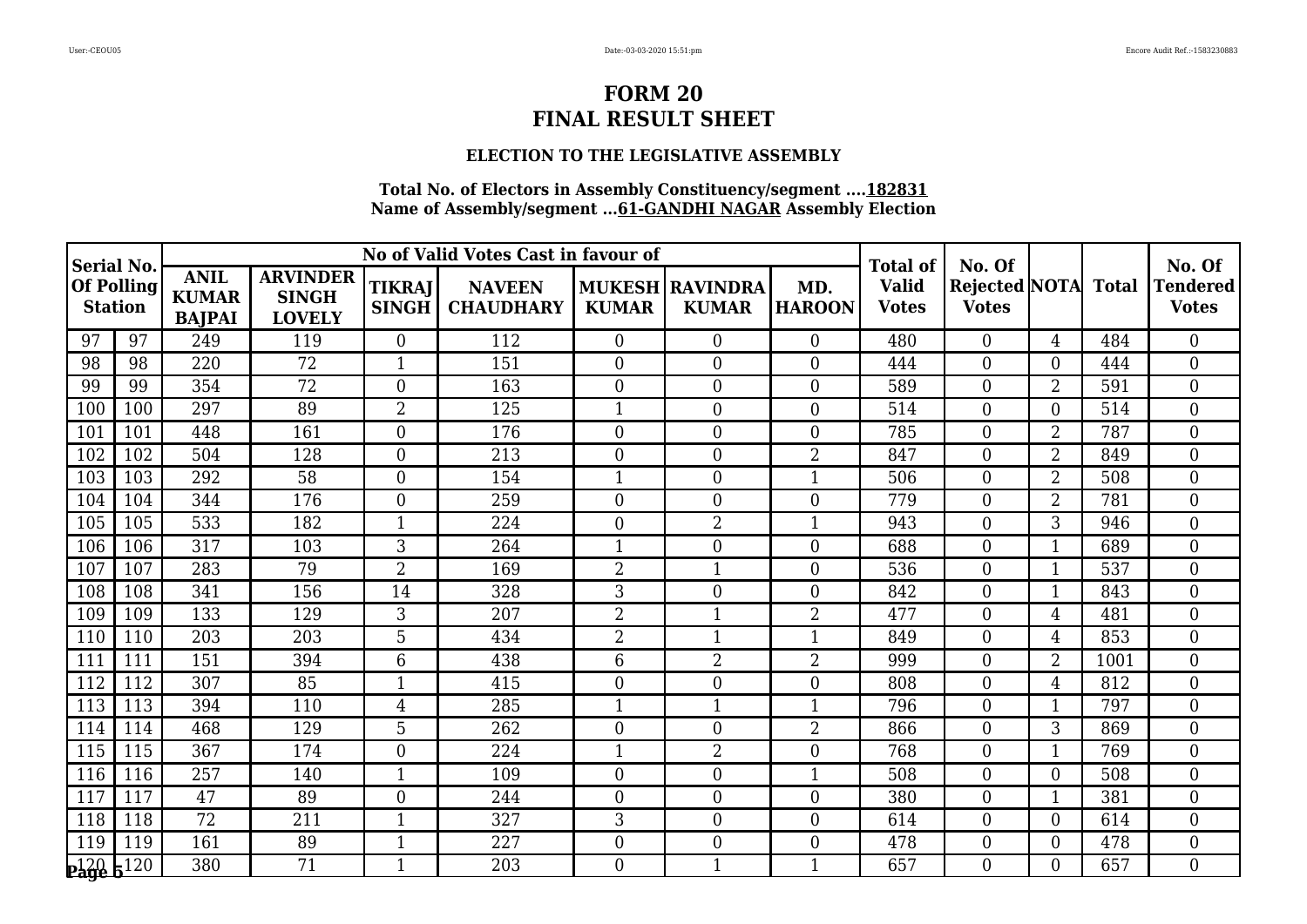### **ELECTION TO THE LEGISLATIVE ASSEMBLY**

| <b>Serial No.</b>                   |     |                                              |                                                  |                               | No of Valid Votes Cast in favour of |                  |                                   |                      | <b>Total of</b>              | No. Of                                     |                |      | No. Of                          |
|-------------------------------------|-----|----------------------------------------------|--------------------------------------------------|-------------------------------|-------------------------------------|------------------|-----------------------------------|----------------------|------------------------------|--------------------------------------------|----------------|------|---------------------------------|
| <b>Of Polling</b><br><b>Station</b> |     | <b>ANIL</b><br><b>KUMAR</b><br><b>BAJPAI</b> | <b>ARVINDER</b><br><b>SINGH</b><br><b>LOVELY</b> | <b>TIKRAJ</b><br><b>SINGH</b> | <b>NAVEEN</b><br><b>CHAUDHARY</b>   | <b>KUMAR</b>     | MUKESH   RAVINDRA<br><b>KUMAR</b> | MD.<br><b>HAROON</b> | <b>Valid</b><br><b>Votes</b> | <b>Rejected NOTA</b> Total<br><b>Votes</b> |                |      | <b>Tendered</b><br><b>Votes</b> |
| 97                                  | 97  | 249                                          | 119                                              | $\overline{0}$                | 112                                 | $\overline{0}$   | $\overline{0}$                    | $\theta$             | 480                          | $\theta$                                   | 4              | 484  | $\theta$                        |
| 98                                  | 98  | 220                                          | 72                                               | $\mathbf{1}$                  | 151                                 | $\boldsymbol{0}$ | $\mathbf{0}$                      | $\boldsymbol{0}$     | 444                          | $\overline{0}$                             | 0              | 444  | $\overline{0}$                  |
| 99                                  | 99  | 354                                          | 72                                               | $\boldsymbol{0}$              | 163                                 | $\boldsymbol{0}$ | $\boldsymbol{0}$                  | $\boldsymbol{0}$     | 589                          | $\boldsymbol{0}$                           | $\overline{2}$ | 591  | $\boldsymbol{0}$                |
| 100                                 | 100 | 297                                          | 89                                               | $\overline{2}$                | 125                                 | $\mathbf{1}$     | $\overline{0}$                    | $\overline{0}$       | 514                          | $\boldsymbol{0}$                           | 0              | 514  | $\overline{0}$                  |
| 101                                 | 101 | 448                                          | 161                                              | $\boldsymbol{0}$              | 176                                 | $\overline{0}$   | $\overline{0}$                    | $\overline{0}$       | 785                          | $\overline{0}$                             | $\overline{2}$ | 787  | $\overline{0}$                  |
| 102                                 | 102 | 504                                          | 128                                              | $\boldsymbol{0}$              | 213                                 | $\boldsymbol{0}$ | $\boldsymbol{0}$                  | $\overline{2}$       | 847                          | $\boldsymbol{0}$                           | $\overline{2}$ | 849  | $\overline{0}$                  |
| 103                                 | 103 | 292                                          | 58                                               | $\overline{0}$                | 154                                 | $\mathbf{1}$     | $\overline{0}$                    | $\mathbf{1}$         | 506                          | $\boldsymbol{0}$                           | $\overline{2}$ | 508  | $\theta$                        |
| 104                                 | 104 | 344                                          | 176                                              | $\overline{0}$                | 259                                 | $\boldsymbol{0}$ | $\boldsymbol{0}$                  | $\mathbf{0}$         | 779                          | $\boldsymbol{0}$                           | 2              | 781  | $\overline{0}$                  |
| 105                                 | 105 | 533                                          | 182                                              | $\mathbf{1}$                  | 224                                 | $\boldsymbol{0}$ | 2                                 | $\mathbf{1}$         | 943                          | $\boldsymbol{0}$                           | 3              | 946  | $\mathbf{0}$                    |
| 106                                 | 106 | 317                                          | 103                                              | 3                             | 264                                 | $\mathbf{1}$     | $\overline{0}$                    | $\theta$             | 688                          | $\overline{0}$                             | 1              | 689  | $\theta$                        |
| 107                                 | 107 | 283                                          | 79                                               | $\overline{2}$                | 169                                 | $\overline{2}$   | 1                                 | $\overline{0}$       | 536                          | $\overline{0}$                             |                | 537  | $\overline{0}$                  |
| 108                                 | 108 | 341                                          | 156                                              | 14                            | 328                                 | 3                | $\mathbf{0}$                      | $\mathbf{0}$         | 842                          | $\boldsymbol{0}$                           | -1             | 843  | $\overline{0}$                  |
| 109                                 | 109 | 133                                          | 129                                              | 3                             | 207                                 | $\overline{2}$   | $\mathbf{1}$                      | $\overline{2}$       | 477                          | $\boldsymbol{0}$                           | 4              | 481  | $\boldsymbol{0}$                |
| 110                                 | 110 | 203                                          | 203                                              | 5                             | 434                                 | $\overline{2}$   | $\mathbf{1}$                      | $\mathbf{1}$         | 849                          | $\overline{0}$                             | $\overline{4}$ | 853  | $\overline{0}$                  |
| 111                                 | 111 | 151                                          | 394                                              | $6\phantom{1}6$               | 438                                 | 6                | $\overline{2}$                    | $\overline{2}$       | 999                          | $\overline{0}$                             | $\overline{2}$ | 1001 | $\theta$                        |
| 112                                 | 112 | 307                                          | 85                                               | $\mathbf{1}$                  | 415                                 | $\boldsymbol{0}$ | $\boldsymbol{0}$                  | $\overline{0}$       | 808                          | $\boldsymbol{0}$                           | 4              | 812  | $\overline{0}$                  |
| 113                                 | 113 | 394                                          | 110                                              | $\overline{4}$                | 285                                 | 1                | $\mathbf{1}$                      | $\mathbf{1}$         | 796                          | $\boldsymbol{0}$                           | -1             | 797  | $\overline{0}$                  |
| 114                                 | 114 | 468                                          | 129                                              | 5                             | 262                                 | $\overline{0}$   | $\boldsymbol{0}$                  | $\overline{2}$       | 866                          | $\boldsymbol{0}$                           | 3              | 869  | $\mathbf{0}$                    |
| 115                                 | 115 | 367                                          | 174                                              | $\overline{0}$                | 224                                 | $\mathbf{1}$     | $\overline{2}$                    | $\overline{0}$       | 768                          | $\boldsymbol{0}$                           | 1              | 769  | $\overline{0}$                  |
| 116                                 | 116 | 257                                          | 140                                              | $\mathbf{1}$                  | 109                                 | $\boldsymbol{0}$ | $\boldsymbol{0}$                  | $\mathbf{1}$         | 508                          | $\boldsymbol{0}$                           | 0              | 508  | $\overline{0}$                  |
| 117                                 | 117 | 47                                           | 89                                               | $\overline{0}$                | 244                                 | $\overline{0}$   | $\overline{0}$                    | $\overline{0}$       | 380                          | $\overline{0}$                             | 1              | 381  | $\overline{0}$                  |
| 118                                 | 118 | 72                                           | 211                                              | 1                             | 327                                 | 3                | $\boldsymbol{0}$                  | $\boldsymbol{0}$     | 614                          | $\boldsymbol{0}$                           | 0              | 614  | $\overline{0}$                  |
| 119                                 | 119 | 161                                          | 89                                               | $\mathbf{1}$                  | 227                                 | $\overline{0}$   | $\boldsymbol{0}$                  | $\boldsymbol{0}$     | 478                          | $\boldsymbol{0}$                           | $\Omega$       | 478  | $\boldsymbol{0}$                |
| $P_420 E_120$                       |     | 380                                          | 71                                               | $\mathbf{1}$                  | 203                                 | $\overline{0}$   | $\mathbf{1}$                      | $\mathbf{1}$         | 657                          | $\Omega$                                   | 0              | 657  | $\Omega$                        |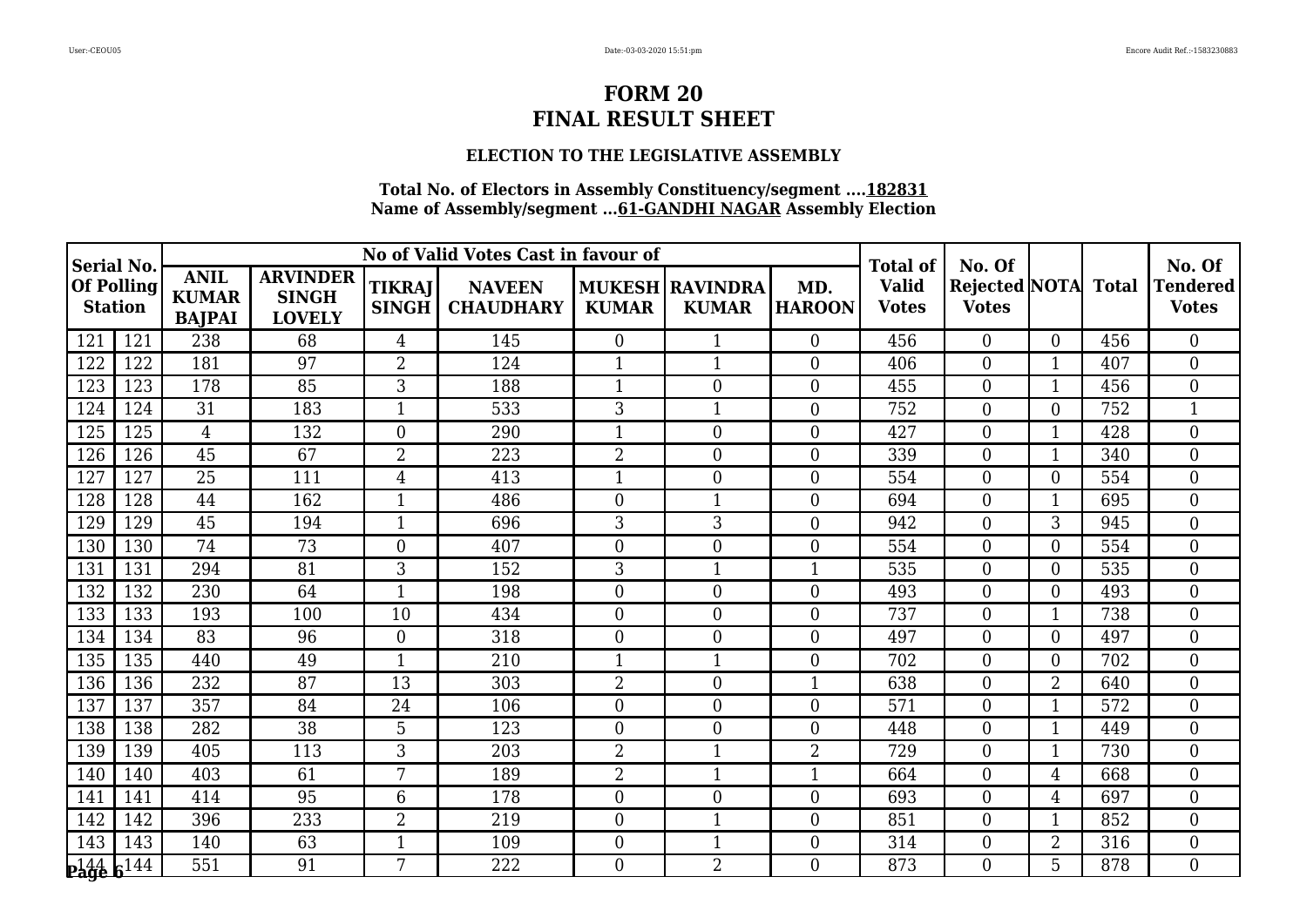### **ELECTION TO THE LEGISLATIVE ASSEMBLY**

| <b>Serial No.</b>                   |     |                                              |                                                  |                               | No of Valid Votes Cast in favour of |                  |                                   |                      | <b>Total of</b>              | No. Of                                     |                |     | No. Of                          |
|-------------------------------------|-----|----------------------------------------------|--------------------------------------------------|-------------------------------|-------------------------------------|------------------|-----------------------------------|----------------------|------------------------------|--------------------------------------------|----------------|-----|---------------------------------|
| <b>Of Polling</b><br><b>Station</b> |     | <b>ANIL</b><br><b>KUMAR</b><br><b>BAJPAI</b> | <b>ARVINDER</b><br><b>SINGH</b><br><b>LOVELY</b> | <b>TIKRAJ</b><br><b>SINGH</b> | <b>NAVEEN</b><br><b>CHAUDHARY</b>   | <b>KUMAR</b>     | MUKESH   RAVINDRA<br><b>KUMAR</b> | MD.<br><b>HAROON</b> | <b>Valid</b><br><b>Votes</b> | <b>Rejected NOTA</b> Total<br><b>Votes</b> |                |     | <b>Tendered</b><br><b>Votes</b> |
| 121                                 | 121 | 238                                          | 68                                               | $\overline{4}$                | 145                                 | $\overline{0}$   | $\mathbf{1}$                      | $\theta$             | 456                          | $\theta$                                   | $\Omega$       | 456 | $\theta$                        |
| 122                                 | 122 | 181                                          | 97                                               | $\overline{2}$                | 124                                 | 1                | $\mathbf{1}$                      | $\boldsymbol{0}$     | 406                          | $\boldsymbol{0}$                           | 1              | 407 | $\overline{0}$                  |
| 123                                 | 123 | 178                                          | 85                                               | $\overline{3}$                | 188                                 | 1                | $\boldsymbol{0}$                  | $\boldsymbol{0}$     | 455                          | $\boldsymbol{0}$                           | -1             | 456 | $\mathbf{0}$                    |
| 124                                 | 124 | 31                                           | 183                                              | $\mathbf{1}$                  | 533                                 | 3                | $\mathbf{1}$                      | $\boldsymbol{0}$     | 752                          | $\boldsymbol{0}$                           | $\overline{0}$ | 752 | $\mathbf{1}$                    |
| 125                                 | 125 | $\overline{4}$                               | 132                                              | $\overline{0}$                | 290                                 | 1                | $\overline{0}$                    | $\overline{0}$       | 427                          | $\overline{0}$                             | 1              | 428 | $\overline{0}$                  |
| 126                                 | 126 | 45                                           | 67                                               | $\overline{2}$                | 223                                 | $\overline{2}$   | $\boldsymbol{0}$                  | $\boldsymbol{0}$     | 339                          | $\boldsymbol{0}$                           |                | 340 | $\overline{0}$                  |
| 127                                 | 127 | 25                                           | 111                                              | $\overline{4}$                | 413                                 | $\mathbf{1}$     | $\overline{0}$                    | $\overline{0}$       | 554                          | $\overline{0}$                             | 0              | 554 | $\theta$                        |
| 128                                 | 128 | 44                                           | 162                                              | $\mathbf{1}$                  | 486                                 | $\boldsymbol{0}$ | 1                                 | $\boldsymbol{0}$     | 694                          | $\boldsymbol{0}$                           | 1              | 695 | $\overline{0}$                  |
| 129                                 | 129 | 45                                           | 194                                              | $\mathbf{1}$                  | 696                                 | 3                | 3                                 | $\boldsymbol{0}$     | 942                          | $\boldsymbol{0}$                           | 3              | 945 | $\mathbf{0}$                    |
| 130                                 | 130 | 74                                           | 73                                               | $\Omega$                      | 407                                 | $\overline{0}$   | $\overline{0}$                    | $\overline{0}$       | 554                          | $\overline{0}$                             | $\Omega$       | 554 | $\theta$                        |
| 131                                 | 131 | 294                                          | 81                                               | 3                             | 152                                 | 3                | 1                                 | $\mathbf{1}$         | 535                          | $\overline{0}$                             | 0              | 535 | $\overline{0}$                  |
| 132                                 | 132 | 230                                          | 64                                               | $\mathbf{1}$                  | 198                                 | $\mathbf{0}$     | $\mathbf{0}$                      | $\mathbf{0}$         | 493                          | $\boldsymbol{0}$                           | $\overline{0}$ | 493 | $\overline{0}$                  |
| 133                                 | 133 | 193                                          | 100                                              | 10                            | 434                                 | $\overline{0}$   | $\boldsymbol{0}$                  | $\boldsymbol{0}$     | 737                          | $\boldsymbol{0}$                           | 1              | 738 | $\overline{0}$                  |
| 134                                 | 134 | 83                                           | 96                                               | $\overline{0}$                | 318                                 | $\overline{0}$   | $\overline{0}$                    | $\overline{0}$       | 497                          | $\overline{0}$                             | $\Omega$       | 497 | $\overline{0}$                  |
| 135                                 | 135 | 440                                          | 49                                               | $\mathbf{1}$                  | 210                                 | $\mathbf{1}$     | $\mathbf{1}$                      | $\overline{0}$       | 702                          | $\overline{0}$                             | $\overline{0}$ | 702 | $\theta$                        |
| 136                                 | 136 | 232                                          | 87                                               | 13                            | 303                                 | $\overline{2}$   | $\boldsymbol{0}$                  | $\mathbf{1}$         | 638                          | $\boldsymbol{0}$                           | $\overline{2}$ | 640 | $\overline{0}$                  |
| 137                                 | 137 | 357                                          | 84                                               | 24                            | 106                                 | $\overline{0}$   | $\boldsymbol{0}$                  | $\boldsymbol{0}$     | 571                          | $\boldsymbol{0}$                           | -1             | 572 | $\overline{0}$                  |
| 138                                 | 138 | 282                                          | $\overline{38}$                                  | 5                             | 123                                 | $\overline{0}$   | $\overline{0}$                    | $\overline{0}$       | 448                          | $\boldsymbol{0}$                           | $\mathbf{1}$   | 449 | $\overline{0}$                  |
| 139                                 | 139 | 405                                          | 113                                              | 3                             | 203                                 | $\overline{2}$   | $\mathbf{1}$                      | $\overline{2}$       | 729                          | $\overline{0}$                             | 1              | 730 | $\overline{0}$                  |
| 140                                 | 140 | 403                                          | 61                                               | 7                             | 189                                 | $\overline{2}$   | $\mathbf{1}$                      | $\mathbf{1}$         | 664                          | $\boldsymbol{0}$                           | 4              | 668 | $\overline{0}$                  |
| 141                                 | 141 | 414                                          | 95                                               | $6\phantom{1}6$               | 178                                 | $\overline{0}$   | $\overline{0}$                    | $\overline{0}$       | 693                          | $\overline{0}$                             | 4              | 697 | $\overline{0}$                  |
| 142                                 | 142 | 396                                          | 233                                              | $\overline{2}$                | 219                                 | $\overline{0}$   | 1                                 | $\boldsymbol{0}$     | 851                          | $\boldsymbol{0}$                           | -1             | 852 | $\overline{0}$                  |
| 143                                 | 143 | 140                                          | 63                                               | $\mathbf{1}$                  | 109                                 | $\overline{0}$   | $\mathbf{1}$                      | $\boldsymbol{0}$     | 314                          | $\boldsymbol{0}$                           | $\overline{2}$ | 316 | $\boldsymbol{0}$                |
| $P_4446144$                         |     | 551                                          | 91                                               | 7                             | 222                                 | $\overline{0}$   | $\overline{2}$                    | $\theta$             | 873                          | $\theta$                                   | 5              | 878 | $\Omega$                        |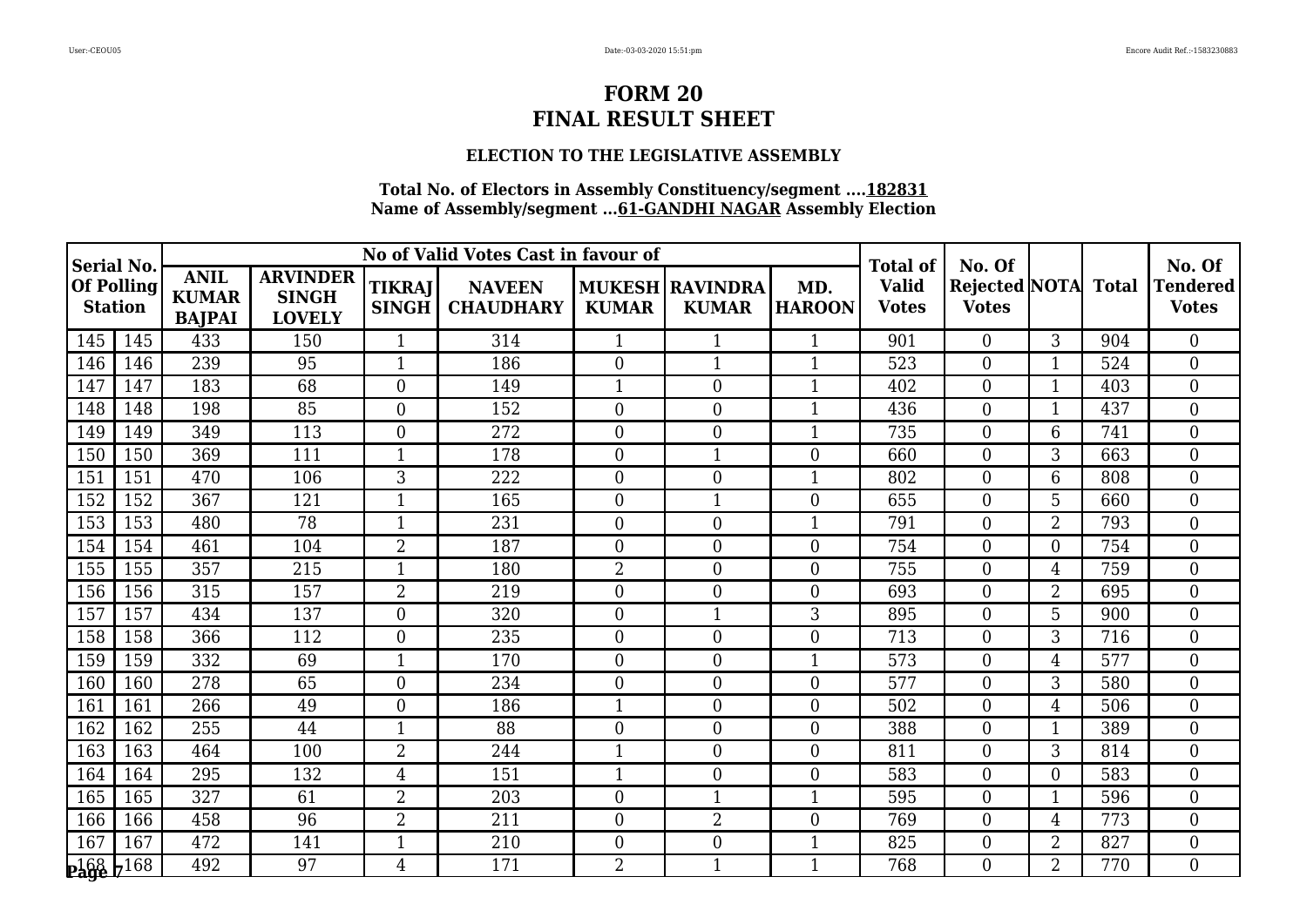### **ELECTION TO THE LEGISLATIVE ASSEMBLY**

| <b>Serial No.</b>                   |     |                                              |                                                  |                               | No of Valid Votes Cast in favour of |                  |                                        |                      | <b>Total of</b>              | No. Of                               |                |              | No. Of                     |
|-------------------------------------|-----|----------------------------------------------|--------------------------------------------------|-------------------------------|-------------------------------------|------------------|----------------------------------------|----------------------|------------------------------|--------------------------------------|----------------|--------------|----------------------------|
| <b>Of Polling</b><br><b>Station</b> |     | <b>ANIL</b><br><b>KUMAR</b><br><b>BAJPAI</b> | <b>ARVINDER</b><br><b>SINGH</b><br><b>LOVELY</b> | <b>TIKRAJ</b><br><b>SINGH</b> | <b>NAVEEN</b><br><b>CHAUDHARY</b>   | <b>KUMAR</b>     | <b>MUKESH RAVINDRA</b><br><b>KUMAR</b> | MD.<br><b>HAROON</b> | <b>Valid</b><br><b>Votes</b> | <b>Rejected NOTA</b><br><b>Votes</b> |                | <b>Total</b> | Tendered  <br><b>Votes</b> |
| 145                                 | 145 | 433                                          | 150                                              | $\mathbf{1}$                  | 314                                 | $\mathbf{1}$     | 1                                      | $\mathbf{1}$         | 901                          | $\Omega$                             | 3              | 904          | $\theta$                   |
| 146                                 | 146 | 239                                          | 95                                               | $\mathbf{1}$                  | 186                                 | $\overline{0}$   | $\mathbf{1}$                           | $\overline{1}$       | 523                          | $\mathbf{0}$                         |                | 524          | $\overline{0}$             |
| 147                                 | 147 | 183                                          | 68                                               | $\boldsymbol{0}$              | 149                                 | 1                | $\overline{0}$                         | $\mathbf{1}$         | 402                          | $\boldsymbol{0}$                     |                | 403          | $\boldsymbol{0}$           |
| 148                                 | 148 | 198                                          | 85                                               | $\overline{0}$                | 152                                 | $\overline{0}$   | $\boldsymbol{0}$                       | $\mathbf{1}$         | 436                          | $\overline{0}$                       | 1              | 437          | $\boldsymbol{0}$           |
| 149                                 | 149 | 349                                          | 113                                              | $\overline{0}$                | 272                                 | $\overline{0}$   | $\overline{0}$                         | $\mathbf{1}$         | 735                          | $\overline{0}$                       | 6              | 741          | $\overline{0}$             |
| 150                                 | 150 | 369                                          | 111                                              | $\mathbf{1}$                  | 178                                 | $\overline{0}$   | $\mathbf{1}$                           | $\mathbf{0}$         | 660                          | $\mathbf{0}$                         | 3              | 663          | $\overline{0}$             |
| 151                                 | 151 | 470                                          | 106                                              | 3                             | 222                                 | $\overline{0}$   | $\overline{0}$                         | $\mathbf{1}$         | 802                          | $\overline{0}$                       | 6              | 808          | $\overline{0}$             |
| 152                                 | 152 | 367                                          | 121                                              | $\mathbf{1}$                  | 165                                 | $\boldsymbol{0}$ | $\mathbf{1}$                           | $\boldsymbol{0}$     | 655                          | $\boldsymbol{0}$                     | 5              | 660          | $\boldsymbol{0}$           |
| 153                                 | 153 | 480                                          | 78                                               | $\mathbf{1}$                  | 231                                 | $\overline{0}$   | $\boldsymbol{0}$                       | $\mathbf{1}$         | 791                          | $\mathbf{0}$                         | $\overline{2}$ | 793          | $\boldsymbol{0}$           |
| 154                                 | 154 | 461                                          | 104                                              | $\overline{2}$                | 187                                 | $\overline{0}$   | $\overline{0}$                         | $\overline{0}$       | 754                          | $\theta$                             | $\Omega$       | 754          | $\overline{0}$             |
| 155                                 | 155 | 357                                          | 215                                              | $\mathbf{1}$                  | 180                                 | 2                | $\boldsymbol{0}$                       | $\overline{0}$       | 755                          | $\theta$                             | 4              | 759          | $\overline{0}$             |
| 156                                 | 156 | 315                                          | 157                                              | $\overline{2}$                | 219                                 | $\boldsymbol{0}$ | $\boldsymbol{0}$                       | $\boldsymbol{0}$     | 693                          | $\mathbf{0}$                         | $\overline{2}$ | 695          | $\mathbf{0}$               |
| 157                                 | 157 | 434                                          | 137                                              | $\boldsymbol{0}$              | 320                                 | $\overline{0}$   | $\mathbf{1}$                           | 3                    | 895                          | $\boldsymbol{0}$                     | 5              | 900          | $\boldsymbol{0}$           |
| 158                                 | 158 | 366                                          | 112                                              | $\overline{0}$                | 235                                 | $\overline{0}$   | $\boldsymbol{0}$                       | $\boldsymbol{0}$     | 713                          | $\overline{0}$                       | 3              | 716          | $\boldsymbol{0}$           |
| 159                                 | 159 | 332                                          | 69                                               | $\mathbf{1}$                  | 170                                 | $\overline{0}$   | $\boldsymbol{0}$                       | $\mathbf{1}$         | 573                          | $\mathbf{0}$                         | $\overline{4}$ | 577          | $\overline{0}$             |
| 160                                 | 160 | 278                                          | 65                                               | $\boldsymbol{0}$              | 234                                 | $\overline{0}$   | $\boldsymbol{0}$                       | $\boldsymbol{0}$     | 577                          | $\mathbf{0}$                         | 3              | 580          | $\boldsymbol{0}$           |
| 161                                 | 161 | 266                                          | 49                                               | $\boldsymbol{0}$              | 186                                 | 1                | $\boldsymbol{0}$                       | $\boldsymbol{0}$     | 502                          | $\boldsymbol{0}$                     | 4              | 506          | $\boldsymbol{0}$           |
| 162                                 | 162 | 255                                          | 44                                               | $\mathbf{1}$                  | 88                                  | $\overline{0}$   | $\overline{0}$                         | $\overline{0}$       | 388                          | $\overline{0}$                       |                | 389          | $\mathbf{0}$               |
| 163                                 | 163 | 464                                          | 100                                              | $\overline{2}$                | 244                                 | 1                | $\overline{0}$                         | $\overline{0}$       | 811                          | $\overline{0}$                       | 3              | 814          | $\boldsymbol{0}$           |
| 164                                 | 164 | 295                                          | 132                                              | $\overline{4}$                | 151                                 | 1                | $\boldsymbol{0}$                       | $\boldsymbol{0}$     | 583                          | $\mathbf{0}$                         | $\Omega$       | 583          | $\boldsymbol{0}$           |
| 165                                 | 165 | 327                                          | 61                                               | $\overline{2}$                | 203                                 | $\overline{0}$   | $\mathbf{1}$                           | $\mathbf{1}$         | 595                          | $\overline{0}$                       |                | 596          | $\overline{0}$             |
| 166                                 | 166 | 458                                          | 96                                               | $\overline{2}$                | 211                                 | $\overline{0}$   | $\overline{2}$                         | $\overline{0}$       | 769                          | $\boldsymbol{0}$                     | 4              | 773          | $\boldsymbol{0}$           |
| 167                                 | 167 | 472                                          | 141                                              | $\mathbf{1}$                  | 210                                 | $\overline{0}$   | $\boldsymbol{0}$                       | $\mathbf{1}$         | 825                          | $\mathbf{0}$                         | $\overline{2}$ | 827          | $\boldsymbol{0}$           |
| $2468$ $7168$                       |     | 492                                          | 97                                               | $\overline{4}$                | 171                                 | $\overline{2}$   | $\mathbf{1}$                           | $\mathbf{1}$         | 768                          | $\Omega$                             | $\overline{2}$ | 770          | $\theta$                   |